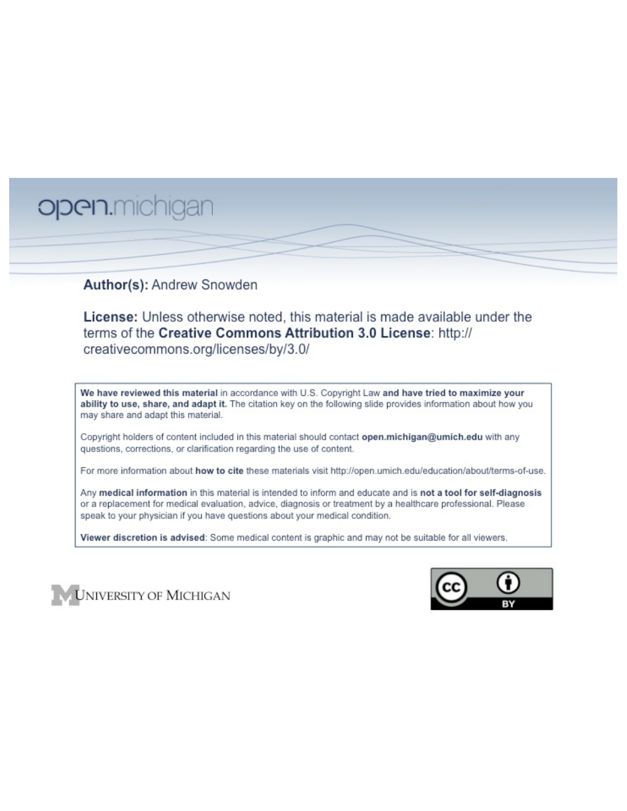# open.michigan

## Author(s): Andrew Snowden

License: Unless otherwise noted, this material is made available under the terms of the Creative Commons Attribution 3.0 License: http:// creativecommons.org/licenses/by/3.0/

We have reviewed this material in accordance with U.S. Copyright Law and have tried to maximize your ability to use, share, and adapt it. The citation key on the following slide provides information about how you may share and adapt this material.

Copyright holders of content included in this material should contact open.michigan@umich.edu with any questions, corrections, or clarification regarding the use of content.

For more information about how to cite these materials visit http://open.umich.edu/education/about/terms-of-use.

Any medical information in this material is intended to inform and educate and is not a tool for self-diagnosis or a replacement for medical evaluation, advice, diagnosis or treatment by a healthcare professional. Please speak to your physician if you have questions about your medical condition.

Viewer discretion is advised: Some medical content is graphic and may not be suitable for all viewers.



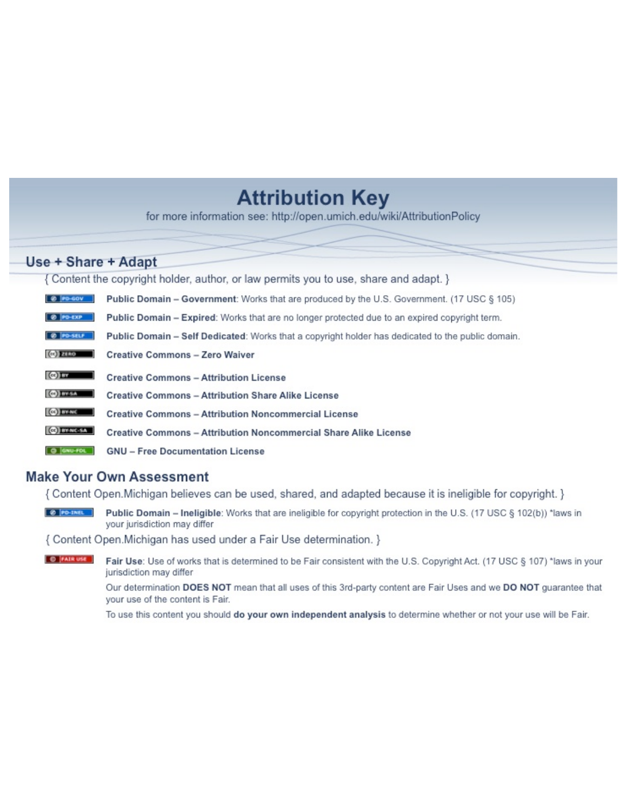## **Attribution Key**

for more information see: http://open.umich.edu/wiki/AttributionPolicy

## Use + Share + Adapt

{ Content the copyright holder, author, or law permits you to use, share and adapt. }

| @ PD-GOV                  | <b>Public Domain - Government:</b> Works that are produced by the U.S. Government. (17 USC § 105) |
|---------------------------|---------------------------------------------------------------------------------------------------|
| @ PD-EXP                  | Public Domain - Expired: Works that are no longer protected due to an expired copyright term.     |
| @ PO-SELF                 | Public Domain - Self Dedicated: Works that a copyright holder has dedicated to the public domain. |
| $(c2)$ 21110              | <b>Creative Commons - Zero Waiver</b>                                                             |
| $\left($ ce) $\right)$ my | <b>Creative Commons - Attribution License</b>                                                     |
| <b>CO</b> ITY-SA          | <b>Creative Commons - Attribution Share Alike License</b>                                         |
| <b>CO</b> BY-NC           | <b>Creative Commons - Attribution Noncommercial License</b>                                       |
| <b>CO</b> BY-NC-SA        | Creative Commons - Attribution Noncommercial Share Alike License                                  |
| GNU-FOL                   | <b>GNU - Free Documentation License</b>                                                           |

## **Make Your Own Assessment**

{ Content Open. Michigan believes can be used, shared, and adapted because it is ineligible for copyright. }

Public Domain - Ineligible: Works that are ineligible for copyright protection in the U.S. (17 USC § 102(b)) \*laws in your jurisdiction may differ

{ Content Open. Michigan has used under a Fair Use determination. }

**O** FAIR USE Fair Use: Use of works that is determined to be Fair consistent with the U.S. Copyright Act. (17 USC § 107) \*laws in your jurisdiction may differ

> Our determination DOES NOT mean that all uses of this 3rd-party content are Fair Uses and we DO NOT guarantee that your use of the content is Fair.

To use this content you should do your own independent analysis to determine whether or not your use will be Fair.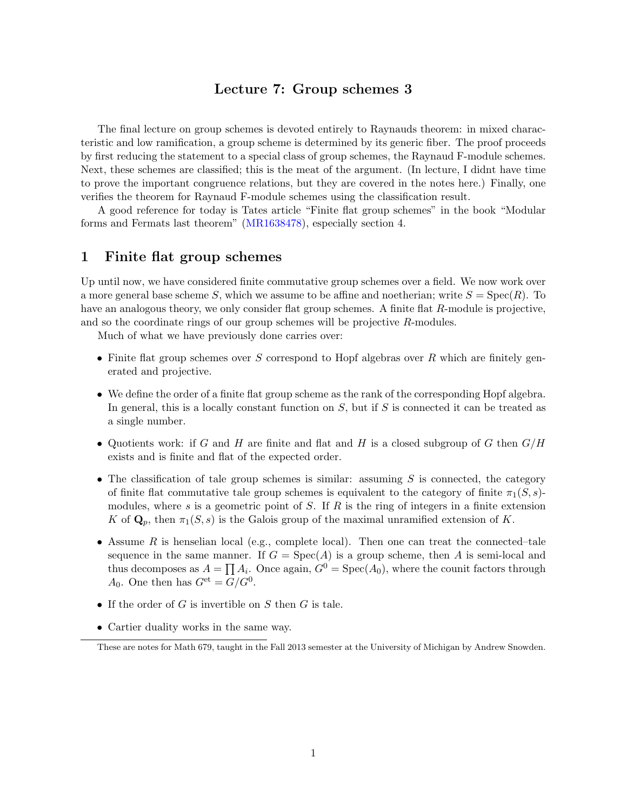## Lecture 7: Group schemes 3

The final lecture on group schemes is devoted entirely to Raynauds theorem: in mixed characteristic and low ramification, a group scheme is determined by its generic fiber. The proof proceeds by first reducing the statement to a special class of group schemes, the Raynaud F-module schemes. Next, these schemes are classified; this is the meat of the argument. (In lecture, I didnt have time to prove the important congruence relations, but they are covered in the notes here.) Finally, one verifies the theorem for Raynaud F-module schemes using the classification result.

A good reference for today is Tates article "Finite flat group schemes" in the book "Modular forms and Fermats last theorem" (MR1638478), especially section 4.

### 1 Finite flat group schemes

Up until now, we have considered finite commutative group schemes over a field. We now work over a more general base scheme *S*, which we assume to be affine and noetherian; write  $S = Spec(R)$ . To have an analogous theory, we only consider flat group schemes. A finite flat *R*-module is projective, and so the coordinate rings of our group schemes will be projective *R*-modules.

Much of what we have previously done carries over:

- Finite flat group schemes over *S* correspond to Hopf algebras over *R* which are finitely generated and projective.
- We define the order of a finite flat group scheme as the rank of the corresponding Hopf algebra. In general, this is a locally constant function on *S*, but if *S* is connected it can be treated as a single number.
- *•* Quotients work: if *G* and *H* are finite and flat and *H* is a closed subgroup of *G* then *G/H* exists and is finite and flat of the expected order.
- The classification of tale group schemes is similar: assuming *S* is connected, the category of finite flat commutative tale group schemes is equivalent to the category of finite  $\pi_1(S, s)$ modules, where *s* is a geometric point of *S*. If *R* is the ring of integers in a finite extension *K* of  $\mathbf{Q}_p$ , then  $\pi_1(S, s)$  is the Galois group of the maximal unramified extension of *K*.
- Assume  $R$  is henselian local (e.g., complete local). Then one can treat the connected–tale sequence in the same manner. If  $G = \text{Spec}(A)$  is a group scheme, then A is semi-local and thus decomposes as  $A = \prod A_i$ . Once again,  $G^{0} = \text{Spec}(A_0)$ , where the counit factors through  $A_0$ . One then has  $G^{\text{et}} = G/G^0$ .
- *•* If the order of *G* is invertible on *S* then *G* is tale.
- Cartier duality works in the same way.

These are notes for Math 679, taught in the Fall 2013 semester at the University of Michigan by Andrew Snowden.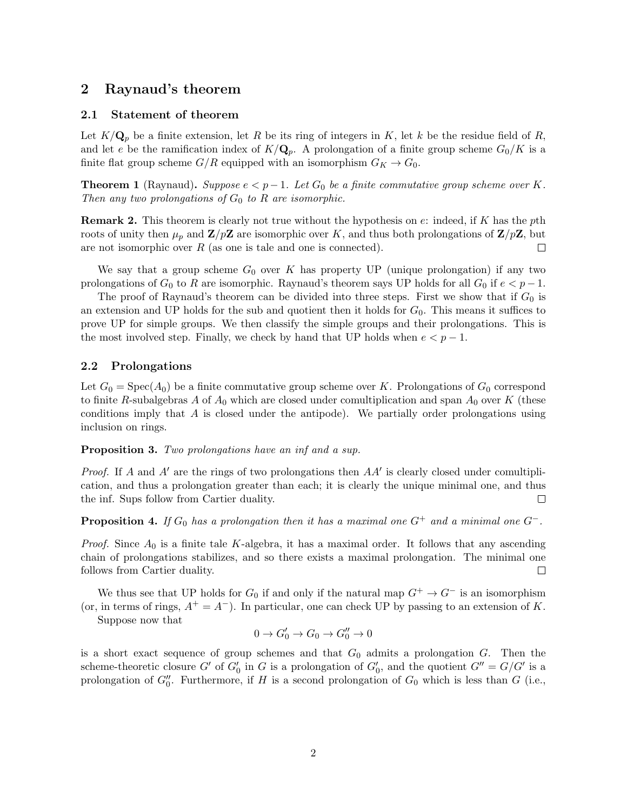## 2 Raynaud's theorem

#### 2.1 Statement of theorem

Let  $K/\mathbf{Q}_p$  be a finite extension, let *R* be its ring of integers in *K*, let *k* be the residue field of *R*, and let *e* be the ramification index of  $K/Q_p$ . A prolongation of a finite group scheme  $G_0/K$  is a finite flat group scheme  $G/R$  equipped with an isomorphism  $G_K \to G_0$ .

**Theorem 1** (Raynaud). Suppose  $e < p-1$ . Let  $G_0$  be a finite commutative group scheme over K. *Then any two prolongations of G*<sup>0</sup> *to R are isomorphic.*

Remark 2. This theorem is clearly not true without the hypothesis on *e*: indeed, if *K* has the *p*th roots of unity then  $\mu_p$  and  $\mathbf{Z}/p\mathbf{Z}$  are isomorphic over *K*, and thus both prolongations of  $\mathbf{Z}/p\mathbf{Z}$ , but are not isomorphic over *R* (as one is tale and one is connected).  $\Box$ 

We say that a group scheme  $G_0$  over  $K$  has property UP (unique prolongation) if any two prolongations of  $G_0$  to  $R$  are isomorphic. Raynaud's theorem says UP holds for all  $G_0$  if  $e < p-1$ .

The proof of Raynaud's theorem can be divided into three steps. First we show that if  $G_0$  is an extension and UP holds for the sub and quotient then it holds for  $G_0$ . This means it suffices to prove UP for simple groups. We then classify the simple groups and their prolongations. This is the most involved step. Finally, we check by hand that UP holds when  $e < p - 1$ .

#### 2.2 Prolongations

Let  $G_0 = \text{Spec}(A_0)$  be a finite commutative group scheme over *K*. Prolongations of  $G_0$  correspond to finite *R*-subalgebras *A* of  $A_0$  which are closed under comultiplication and span  $A_0$  over  $K$  (these conditions imply that *A* is closed under the antipode). We partially order prolongations using inclusion on rings.

Proposition 3. *Two prolongations have an inf and a sup.*

*Proof.* If *A* and *A'* are the rings of two prolongations then *AA'* is clearly closed under comultiplication, and thus a prolongation greater than each; it is clearly the unique minimal one, and thus the inf. Sups follow from Cartier duality.  $\Box$ 

**Proposition 4.** If  $G_0$  has a prolongation then it has a maximal one  $G^+$  and a minimal one  $G^-$ .

*Proof.* Since *A*<sup>0</sup> is a finite tale *K*-algebra, it has a maximal order. It follows that any ascending chain of prolongations stabilizes, and so there exists a maximal prolongation. The minimal one follows from Cartier duality.  $\Box$ 

We thus see that UP holds for  $G_0$  if and only if the natural map  $G^+ \to G^-$  is an isomorphism (or, in terms of rings,  $A^+ = A^-$ ). In particular, one can check UP by passing to an extension of K.

Suppose now that

$$
0 \to G'_0 \to G_0 \to G''_0 \to 0
$$

is a short exact sequence of group schemes and that  $G_0$  admits a prolongation  $G$ . Then the scheme-theoretic closure *G*<sup> $\prime$ </sup> of *G*<sub>0</sub><sup> $\prime$ </sup> in *G* is a prolongation of *G*<sub>0</sub><sup> $\prime$ </sup>, and the quotient *G*<sup> $\prime\prime$ </sup> = *G*/*G*<sup> $\prime$ </sup> is a prolongation of  $G_0''$ . Furthermore, if *H* is a second prolongation of  $G_0$  which is less than *G* (i.e.,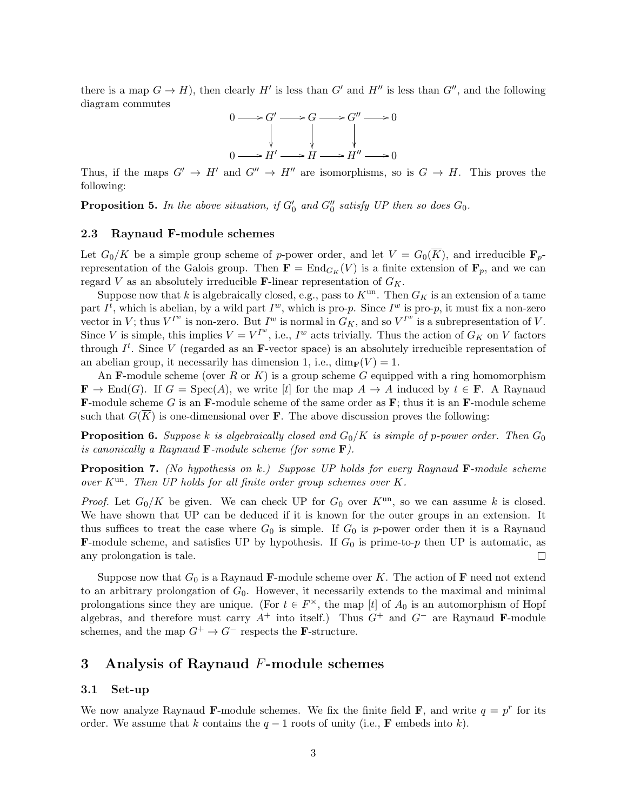there is a map  $G \to H$ ), then clearly  $H'$  is less than  $G'$  and  $H''$  is less than  $G''$ , and the following diagram commutes



Thus, if the maps  $G' \rightarrow H'$  and  $G'' \rightarrow H''$  are isomorphisms, so is  $G \rightarrow H$ . This proves the following:

**Proposition 5.** In the above situation, if  $G_0'$  and  $G_0''$  satisfy UP then so does  $G_0$ .

#### 2.3 Raynaud F-module schemes

Let  $G_0/K$  be a simple group scheme of *p*-power order, and let  $V = G_0(\overline{K})$ , and irreducible  $\mathbf{F}_p$ representation of the Galois group. Then  $\mathbf{F} = \text{End}_{G_K}(V)$  is a finite extension of  $\mathbf{F}_p$ , and we can regard *V* as an absolutely irreducible **F**-linear representation of  $G_K$ .

Suppose now that *k* is algebraically closed, e.g., pass to  $K^{\text{un}}$ . Then  $G_K$  is an extension of a tame part  $I^t$ , which is abelian, by a wild part  $I^w$ , which is pro-*p*. Since  $I^w$  is pro-*p*, it must fix a non-zero vector in *V*; thus  $V^{I^w}$  is non-zero. But  $I^w$  is normal in  $G_K$ , and so  $V^{I^w}$  is a subrepresentation of *V*. Since *V* is simple, this implies  $V = V^{I^w}$ , i.e.,  $I^w$  acts trivially. Thus the action of  $G_K$  on *V* factors through  $I^t$ . Since V (regarded as an **F**-vector space) is an absolutely irreducible representation of an abelian group, it necessarily has dimension 1, i.e.,  $\dim_{\mathbf{F}}(V) = 1$ .

An F-module scheme (over *R* or *K*) is a group scheme *G* equipped with a ring homomorphism  $\mathbf{F} \to \text{End}(G)$ . If  $G = \text{Spec}(A)$ , we write [*t*] for the map  $A \to A$  induced by  $t \in \mathbf{F}$ . A Raynaud F-module scheme *G* is an F-module scheme of the same order as F; thus it is an F-module scheme such that  $G(\overline{K})$  is one-dimensional over **F**. The above discussion proves the following:

**Proposition 6.** Suppose *k* is algebraically closed and  $G_0/K$  is simple of p-power order. Then  $G_0$ *is canonically a Raynaud* F*-module scheme (for some* F*).*

Proposition 7. *(No hypothesis on k.) Suppose UP holds for every Raynaud* F*-module scheme over K*un*. Then UP holds for all finite order group schemes over K.*

*Proof.* Let  $G_0/K$  be given. We can check UP for  $G_0$  over  $K^{\text{un}}$ , so we can assume k is closed. We have shown that UP can be deduced if it is known for the outer groups in an extension. It thus suffices to treat the case where  $G_0$  is simple. If  $G_0$  is p-power order then it is a Raynaud **F**-module scheme, and satisfies UP by hypothesis. If  $G_0$  is prime-to-*p* then UP is automatic, as any prolongation is tale.  $\Box$ 

Suppose now that  $G_0$  is a Raynaud **F**-module scheme over K. The action of **F** need not extend to an arbitrary prolongation of  $G_0$ . However, it necessarily extends to the maximal and minimal prolongations since they are unique. (For  $t \in F^{\times}$ , the map [*t*] of  $A_0$  is an automorphism of Hopf algebras, and therefore must carry  $A^+$  into itself.) Thus  $G^+$  and  $G^-$  are Raynaud F-module schemes, and the map  $G^+ \to G^-$  respects the **F**-structure.

#### 3 Analysis of Raynaud *F*-module schemes

#### 3.1 Set-up

We now analyze Raynaud **F**-module schemes. We fix the finite field **F**, and write  $q = p^r$  for its order. We assume that *k* contains the  $q-1$  roots of unity (i.e., **F** embeds into *k*).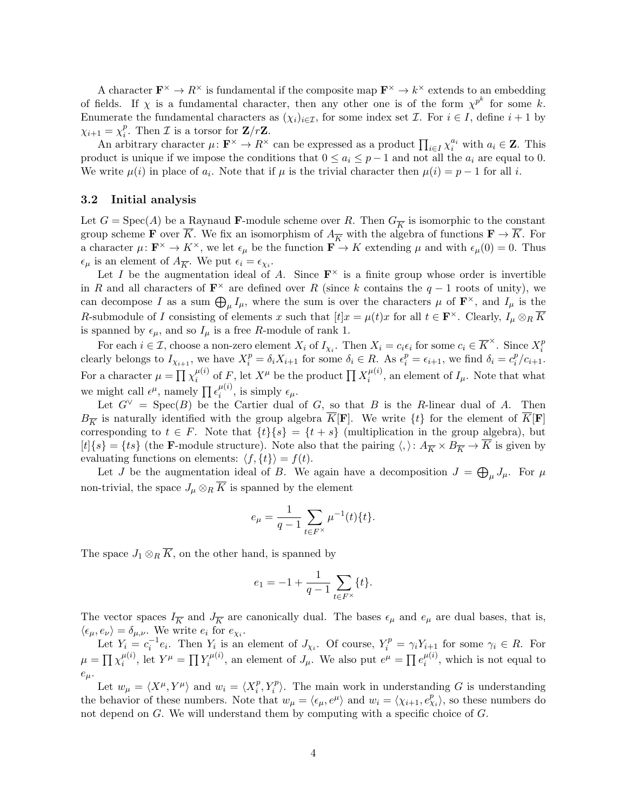A character  $\mathbf{F}^{\times} \to R^{\times}$  is fundamental if the composite map  $\mathbf{F}^{\times} \to k^{\times}$  extends to an embedding of fields. If  $\chi$  is a fundamental character, then any other one is of the form  $\chi^{p^k}$  for some k. Enumerate the fundamental characters as  $(\chi_i)_{i \in \mathcal{I}}$ , for some index set *I*. For  $i \in I$ , define  $i + 1$  by  $\chi_{i+1} = \chi_i^p$ . Then *I* is a torsor for **Z**/r**Z**.

An arbitrary character  $\mu: \mathbf{F}^{\times} \to R^{\times}$  can be expressed as a product  $\prod_{i \in I} \chi_i^{a_i}$  with  $a_i \in \mathbf{Z}$ . This product is unique if we impose the conditions that  $0 \le a_i \le p-1$  and not all the  $a_i$  are equal to 0. We write  $\mu(i)$  in place of  $a_i$ . Note that if  $\mu$  is the trivial character then  $\mu(i) = p - 1$  for all *i*.

#### 3.2 Initial analysis

Let  $G = \text{Spec}(A)$  be a Raynaud **F**-module scheme over R. Then  $G_{\overline{K}}$  is isomorphic to the constant group scheme **F** over  $\overline{K}$ . We fix an isomorphism of  $A_{\overline{K}}$  with the algebra of functions  $\mathbf{F} \to K$ . For a character  $\mu: \mathbf{F}^{\times} \to K^{\times}$ , we let  $\epsilon_{\mu}$  be the function  $\mathbf{F} \to K$  extending  $\mu$  and with  $\epsilon_{\mu}(0) = 0$ . Thus  $\epsilon_{\mu}$  is an element of  $A_{\overline{K}}$ . We put  $\epsilon_i = \epsilon_{\chi_i}$ .

Let *I* be the augmentation ideal of *A*. Since  $\mathbf{F}^{\times}$  is a finite group whose order is invertible in *R* and all characters of  $\mathbf{F}^{\times}$  are defined over *R* (since *k* contains the  $q-1$  roots of unity), we can decompose *I* as a sum  $\bigoplus_{\mu} I_{\mu}$ , where the sum is over the characters  $\mu$  of  $\mathbf{F}^{\times}$ , and  $I_{\mu}$  is the *R*-submodule of *I* consisting of elements *x* such that  $[t]x = \mu(t)x$  for all  $t \in \mathbf{F}^{\times}$ . Clearly,  $I_{\mu} \otimes_R \overline{K}$ is spanned by  $\epsilon_{\mu}$ , and so  $I_{\mu}$  is a free *R*-module of rank 1.

For each  $i \in \mathcal{I}$ , choose a non-zero element  $X_i$  of  $I_{\chi_i}$ . Then  $X_i = c_i \epsilon_i$  for some  $c_i \in \overline{K}^{\times}$ . Since  $X_i^p$ clearly belongs to  $I_{\chi_{i+1}}$ , we have  $X_i^p = \delta_i X_{i+1}$  for some  $\delta_i \in R$ . As  $\epsilon_i^p = \epsilon_{i+1}$ , we find  $\delta_i = c_i^p/c_{i+1}$ . For a character  $\mu = \prod \chi_i^{\mu(i)}$  of *F*, let  $X^{\mu}$  be the product  $\prod X_i^{\mu(i)}$ , an element of  $I_{\mu}$ . Note that what we might call  $\epsilon^{\mu}$ , namely  $\prod_{i} \epsilon^{\mu(i)}$ , is simply  $\epsilon_{\mu}$ .

Let  $G^{\vee}$  = Spec(*B*) be the Cartier dual of *G*, so that *B* is the *R*-linear dual of *A*. Then  $B_{\overline{K}}$  is naturally identified with the group algebra  $\overline{K}[\mathbf{F}]$ . We write  $\{t\}$  for the element of  $\overline{K}[\mathbf{F}]$ corresponding to  $t \in F$ . Note that  $\{t\}\{s\} = \{t + s\}$  (multiplication in the group algebra), but  $[t]{s} = {ts}$  (the **F**-module structure). Note also that the pairing  $\langle, \rangle: A_{\overline{K}} \times B_{\overline{K}} \to K$  is given by evaluating functions on elements:  $\langle f, \{t\}\rangle = f(t)$ .

Let *J* be the augmentation ideal of *B*. We again have a decomposition  $J = \bigoplus_{\mu} J_{\mu}$ . For  $\mu$ non-trivial, the space  $J_{\mu} \otimes_R \overline{K}$  is spanned by the element

$$
e_{\mu} = \frac{1}{q-1} \sum_{t \in F^{\times}} \mu^{-1}(t) \{t\}.
$$

The space  $J_1 \otimes_R \overline{K}$ , on the other hand, is spanned by

$$
e_1 = -1 + \frac{1}{q-1} \sum_{t \in F^\times} \{t\}.
$$

The vector spaces  $I_{\overline{K}}$  and  $J_{\overline{K}}$  are canonically dual. The bases  $\epsilon_{\mu}$  and  $e_{\mu}$  are dual bases, that is,  $\langle \epsilon_{\mu}, \epsilon_{\nu} \rangle = \delta_{\mu, \nu}$ . We write  $e_i$  for  $e_{\chi_i}$ .

Let  $Y_i = c_i^{-1}e_i$ . Then  $Y_i$  is an element of  $J_{\chi_i}$ . Of course,  $Y_i^p = \gamma_i Y_{i+1}$  for some  $\gamma_i \in R$ . For  $\mu = \prod \chi_i^{\mu(i)}$ , let  $Y^{\mu} = \prod Y_i^{\mu(i)}$ , an element of  $J_{\mu}$ . We also put  $e^{\mu} = \prod e_i^{\mu(i)}$ , which is not equal to *eµ*.

Let  $w_{\mu} = \langle X^{\mu}, Y^{\mu} \rangle$  and  $w_i = \langle X_i^p, Y_i^p \rangle$ . The main work in understanding *G* is understanding the behavior of these numbers. Note that  $w_{\mu} = \langle \epsilon_{\mu}, e^{\mu} \rangle$  and  $w_i = \langle \chi_{i+1}, e^p_{\chi_i} \rangle$ , so these numbers do not depend on *G*. We will understand them by computing with a specific choice of *G*.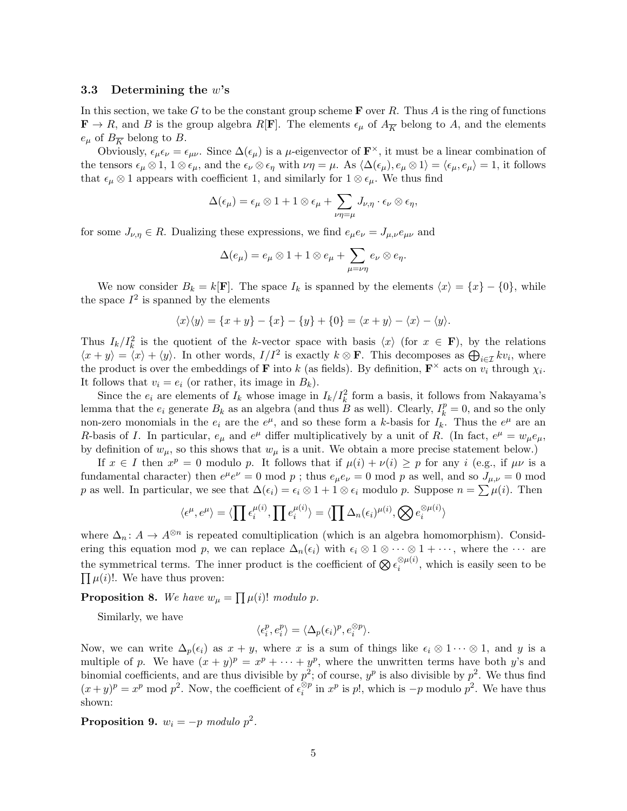#### 3.3 Determining the *w*'s

In this section, we take *G* to be the constant group scheme F over *R*. Thus *A* is the ring of functions  $\mathbf{F} \to R$ , and *B* is the group algebra *R*[**F**]. The elements  $\epsilon_{\mu}$  of  $A_{\overline{K}}$  belong to *A*, and the elements  $e_{\mu}$  of  $B_{\overline{K}}$  belong to *B*.

Obviously,  $\epsilon_{\mu}\epsilon_{\nu}=\epsilon_{\mu\nu}$ . Since  $\Delta(\epsilon_{\mu})$  is a *µ*-eigenvector of  $\mathbf{F}^{\times}$ , it must be a linear combination of the tensors  $\epsilon_{\mu} \otimes 1$ ,  $1 \otimes \epsilon_{\mu}$ , and the  $\epsilon_{\nu} \otimes \epsilon_{\eta}$  with  $\nu\eta = \mu$ . As  $\langle \Delta(\epsilon_{\mu}), \epsilon_{\mu} \otimes 1 \rangle = \langle \epsilon_{\mu}, \epsilon_{\mu} \rangle = 1$ , it follows that  $\epsilon_{\mu} \otimes 1$  appears with coefficient 1, and similarly for  $1 \otimes \epsilon_{\mu}$ . We thus find

$$
\Delta(\epsilon_{\mu})=\epsilon_{\mu}\otimes 1+1\otimes \epsilon_{\mu}+\sum_{\nu\eta=\mu}J_{\nu,\eta}\cdot \epsilon_{\nu}\otimes \epsilon_{\eta},
$$

for some  $J_{\nu,\eta} \in R$ . Dualizing these expressions, we find  $e_{\mu}e_{\nu} = J_{\mu,\nu}e_{\mu\nu}$  and

$$
\Delta(e_{\mu})=e_{\mu}\otimes 1+1\otimes e_{\mu}+\sum_{\mu=\nu\eta}e_{\nu}\otimes e_{\eta}.
$$

We now consider  $B_k = k[\mathbf{F}]$ . The space  $I_k$  is spanned by the elements  $\langle x \rangle = \{x\} - \{0\}$ , while the space  $I^2$  is spanned by the elements

$$
\langle x \rangle \langle y \rangle = \{x + y\} - \{x\} - \{y\} + \{0\} = \langle x + y \rangle - \langle x \rangle - \langle y \rangle.
$$

Thus  $I_k/I_k^2$  is the quotient of the *k*-vector space with basis  $\langle x \rangle$  (for  $x \in \mathbf{F}$ ), by the relations  $\langle x + y \rangle = \langle x \rangle + \langle y \rangle$ . In other words,  $I/I^2$  is exactly  $k \otimes \mathbf{F}$ . This decomposes as  $\bigoplus_{i \in \mathcal{I}} k v_i$ , where the product is over the embeddings of **F** into *k* (as fields). By definition,  $\mathbf{F}^{\times}$  acts on  $v_i$  through  $\chi_i$ . It follows that  $v_i = e_i$  (or rather, its image in  $B_k$ ).

Since the  $e_i$  are elements of  $I_k$  whose image in  $I_k/I_k^2$  form a basis, it follows from Nakayama's lemma that the  $e_i$  generate  $B_k$  as an algebra (and thus  $B$  as well). Clearly,  $I_k^p = 0$ , and so the only non-zero monomials in the  $e_i$  are the  $e^{\mu}$ , and so these form a *k*-basis for  $I_k$ . Thus the  $e^{\mu}$  are an *R*-basis of *I*. In particular,  $e_{\mu}$  and  $e^{\mu}$  differ multiplicatively by a unit of *R*. (In fact,  $e^{\mu} = w_{\mu}e_{\mu}$ , by definition of  $w_{\mu}$ , so this shows that  $w_{\mu}$  is a unit. We obtain a more precise statement below.)

If  $x \in I$  then  $x^p = 0$  modulo p. It follows that if  $\mu(i) + \nu(i) \geq p$  for any *i* (e.g., if  $\mu \nu$  is a fundamental character) then  $e^{\mu}e^{\nu} = 0$  mod p; thus  $e_{\mu}e_{\nu} = 0$  mod p as well, and so  $J_{\mu,\nu} = 0$  mod *p* as well. In particular, we see that  $\Delta(\epsilon_i) = \epsilon_i \otimes 1 + 1 \otimes \epsilon_i$  modulo *p*. Suppose  $n = \sum \mu(i)$ . Then

$$
\langle \epsilon^{\mu}, e^{\mu} \rangle = \langle \prod \epsilon_i^{\mu(i)}, \prod \epsilon_i^{\mu(i)} \rangle = \langle \prod \Delta_n(\epsilon_i)^{\mu(i)}, \bigotimes \epsilon_i^{\otimes \mu(i)} \rangle
$$

where  $\Delta_n: A \to A^{\otimes n}$  is repeated comultiplication (which is an algebra homomorphism). Considering this equation mod p, we can replace  $\Delta_n(\epsilon_i)$  with  $\epsilon_i \otimes 1 \otimes \cdots \otimes 1 + \cdots$ , where the  $\cdots$  are the symmetrical terms. The inner product is the coefficient of  $\bigotimes \epsilon_i^{\otimes \mu(i)}$ , which is easily seen to be  $\prod \mu(i)!$ . We have thus proven:

**Proposition 8.** We have  $w_{\mu} = \prod_{i} \mu(i)!$  *modulo p.* 

Similarly, we have

$$
\langle \epsilon_i^p, e_i^p \rangle = \langle \Delta_p(\epsilon_i)^p, e_i^{\otimes p} \rangle.
$$

Now, we can write  $\Delta_p(\epsilon_i)$  as  $x + y$ , where x is a sum of things like  $\epsilon_i \otimes 1 \cdots \otimes 1$ , and y is a multiple of *p*. We have  $(x + y)^p = x^p + \cdots + y^p$ , where the unwritten terms have both *y*'s and binomial coefficients, and are thus divisible by  $p^2$ ; of course,  $y^p$  is also divisible by  $p^2$ . We thus find  $(x+y)^p = x^p \mod p^2$ . Now, the coefficient of  $\epsilon_i^{\otimes p}$  in  $x^p$  is p!, which is  $-p$  modulo  $p^2$ . We have thus shown:

**Proposition 9.**  $w_i = -p \text{ modulo } p^2$ .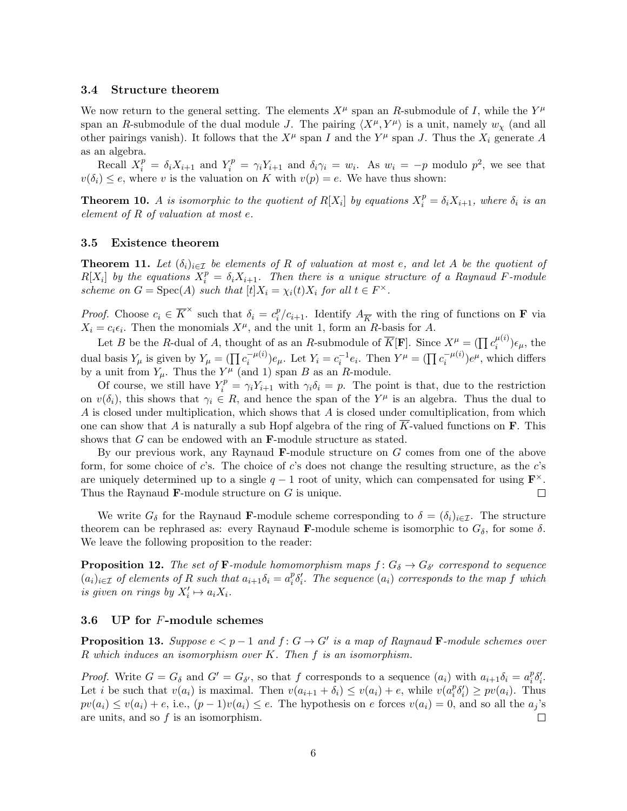#### 3.4 Structure theorem

We now return to the general setting. The elements  $X^{\mu}$  span an *R*-submodule of *I*, while the  $Y^{\mu}$ span an *R*-submodule of the dual module *J*. The pairing  $\langle X^{\mu}, Y^{\mu} \rangle$  is a unit, namely  $w_{\chi}$  (and all other pairings vanish). It follows that the  $X^{\mu}$  span *I* and the  $Y^{\mu}$  span *J*. Thus the  $X_i$  generate *A* as an algebra.

Recall  $X_i^p = \delta_i X_{i+1}$  and  $Y_i^p = \gamma_i Y_{i+1}$  and  $\delta_i \gamma_i = w_i$ . As  $w_i = -p$  modulo  $p^2$ , we see that  $v(\delta_i) \leq e$ , where *v* is the valuation on *K* with  $v(p) = e$ . We have thus shown:

**Theorem 10.** *A is isomorphic to the quotient of*  $R[X_i]$  *by equations*  $X_i^p = \delta_i X_{i+1}$ *, where*  $\delta_i$  *is an element of R of valuation at most e.*

#### 3.5 Existence theorem

**Theorem 11.** Let  $(\delta_i)_{i \in \mathcal{I}}$  be elements of R of valuation at most e, and let A be the quotient of  $R[X_i]$  by the equations  $X_i^p = \delta_i X_{i+1}$ . Then there is a unique structure of a Raynaud *F*-module *scheme on*  $G = \text{Spec}(A)$  *such that*  $[t]X_i = \chi_i(t)X_i$  *for all*  $t \in F^\times$ *.* 

*Proof.* Choose  $c_i \in \overline{K}^{\times}$  such that  $\delta_i = c_i^p/c_{i+1}$ . Identify  $A_{\overline{K}}$  with the ring of functions on **F** via  $X_i = c_i \epsilon_i$ . Then the monomials  $X^{\mu}$ , and the unit 1, form an *R*-basis for *A*.

Let *B* be the *R*-dual of *A*, thought of as an *R*-submodule of  $\overline{K}[\mathbf{F}]$ . Since  $X^{\mu} = (\prod c_i^{\mu(i)}) \epsilon_{\mu}$ , the dual basis  $Y_{\mu}$  is given by  $Y_{\mu} = (\prod c_i^{-\mu(i)})e_{\mu}$ . Let  $Y_i = c_i^{-1}e_i$ . Then  $Y^{\mu} = (\prod c_i^{-\mu(i)})e^{\mu}$ , which differs by a unit from  $Y_\mu$ . Thus the  $Y^\mu$  (and 1) span *B* as an *R*-module.

Of course, we still have  $Y_i^p = \gamma_i Y_{i+1}$  with  $\gamma_i \delta_i = p$ . The point is that, due to the restriction on  $v(\delta_i)$ , this shows that  $\gamma_i \in R$ , and hence the span of the  $Y^{\mu}$  is an algebra. Thus the dual to *A* is closed under multiplication, which shows that *A* is closed under comultiplication, from which one can show that *A* is naturally a sub Hopf algebra of the ring of *K*-valued functions on F. This shows that *G* can be endowed with an F-module structure as stated.

By our previous work, any Raynaud F-module structure on *G* comes from one of the above form, for some choice of *c*'s. The choice of *c*'s does not change the resulting structure, as the *c*'s are uniquely determined up to a single  $q-1$  root of unity, which can compensated for using  $\mathbf{F}^{\times}$ .<br>Thus the Raynaud **F**-module structure on G is unique. Thus the Raynaud F-module structure on *G* is unique.

We write  $G_{\delta}$  for the Raynaud **F**-module scheme corresponding to  $\delta = (\delta_i)_{i \in \mathcal{I}}$ . The structure theorem can be rephrased as: every Raynaud **F**-module scheme is isomorphic to  $G_{\delta}$ , for some  $\delta$ . We leave the following proposition to the reader:

**Proposition 12.** *The set of* **F**-module homomorphism maps  $f: G_{\delta} \to G_{\delta'}$  correspond to sequence  $(a_i)_{i\in\mathcal{I}}$  of elements of R such that  $a_{i+1}\delta_i=a_i^p\delta'_i$ . The sequence  $(a_i)$  corresponds to the map f which *is given on rings by*  $X'_i \mapsto a_i X_i$ .

#### 3.6 UP for *F*-module schemes

**Proposition 13.** Suppose  $e < p-1$  and  $f: G \to G'$  is a map of Raynaud **F**-module schemes over *R which induces an isomorphism over K. Then f is an isomorphism.*

*Proof.* Write  $G = G_{\delta}$  and  $G' = G_{\delta'}$ , so that *f* corresponds to a sequence  $(a_i)$  with  $a_{i+1}\delta_i = a_i^p \delta'_i$ . Let *i* be such that  $v(a_i)$  is maximal. Then  $v(a_{i+1} + \delta_i) \le v(a_i) + e$ , while  $v(a_i^p \delta'_i) \ge pv(a_i)$ . Thus  $pv(a_i) \le v(a_i) + e$ , i.e.,  $(p-1)v(a_i) \le e$ . The hypothesis on e forces  $v(a_i) = 0$ , and so all the  $a_j$ 's are units, and so f is an isomorphism. are units, and so *f* is an isomorphism.